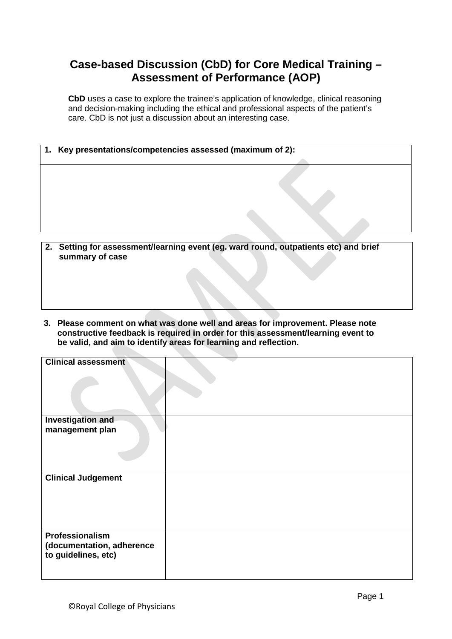## **Case-based Discussion (CbD) for Core Medical Training – Assessment of Performance (AOP)**

**CbD** uses a case to explore the trainee's application of knowledge, clinical reasoning and decision-making including the ethical and professional aspects of the patient's care. CbD is not just a discussion about an interesting case.

| 1. Key presentations/competencies assessed (maximum of 2): |  |
|------------------------------------------------------------|--|
|                                                            |  |
|                                                            |  |
|                                                            |  |
|                                                            |  |

- **2. Setting for assessment/learning event (eg. ward round, outpatients etc) and brief summary of case**
- **3. Please comment on what was done well and areas for improvement. Please note constructive feedback is required in order for this assessment/learning event to be valid, and aim to identify areas for learning and reflection.**

| <b>Clinical assessment</b> |  |
|----------------------------|--|
|                            |  |
|                            |  |
| <b>Investigation and</b>   |  |
| management plan            |  |
|                            |  |
|                            |  |
|                            |  |
|                            |  |
|                            |  |
| <b>Clinical Judgement</b>  |  |
|                            |  |
|                            |  |
|                            |  |
|                            |  |
|                            |  |
| Professionalism            |  |
| (documentation, adherence  |  |
| to guidelines, etc)        |  |
|                            |  |
|                            |  |
|                            |  |